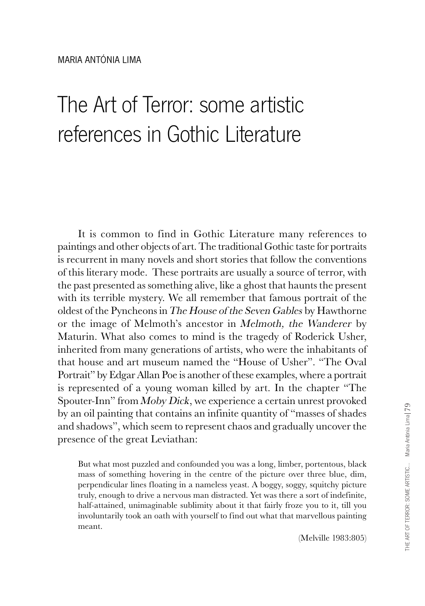## The Art of Terror: some artistic references in Gothic Literature

It is common to find in Gothic Literature many references to paintings and other objects of art. The traditional Gothic taste for portraits is recurrent in many novels and short stories that follow the conventions of this literary mode. These portraits are usually a source of terror, with the past presented as something alive, like a ghost that haunts the present with its terrible mystery. We all remember that famous portrait of the oldest of the Pyncheons in The House of the Seven Gables by Hawthorne or the image of Melmoth's ancestor in *Melmoth*, the *Wanderer* by Maturin. What also comes to mind is the tragedy of Roderick Usher, inherited from many generations of artists, who were the inhabitants of that house and art museum named the "House of Usher". "The Oval Portrait" by Edgar Allan Poe is another of these examples, where a portrait is represented of a young woman killed by art. In the chapter "The Spouter-Inn" from *Moby Dick*, we experience a certain unrest provoked by an oil painting that contains an infinite quantity of "masses of shades and shadows", which seem to represent chaos and gradually uncover the presence of the great Leviathan:

But what most puzzled and confounded you was a long, limber, portentous, black mass of something hovering in the centre of the picture over three blue, dim, perpendicular lines floating in a nameless yeast. A boggy, soggy, squitchy picture truly, enough to drive a nervous man distracted. Yet was there a sort of indefinite, half-attained, unimaginable sublimity about it that fairly froze you to it, till you involuntarily took an oath with yourself to find out what that marvellous painting meant.

(Melville 1983:805)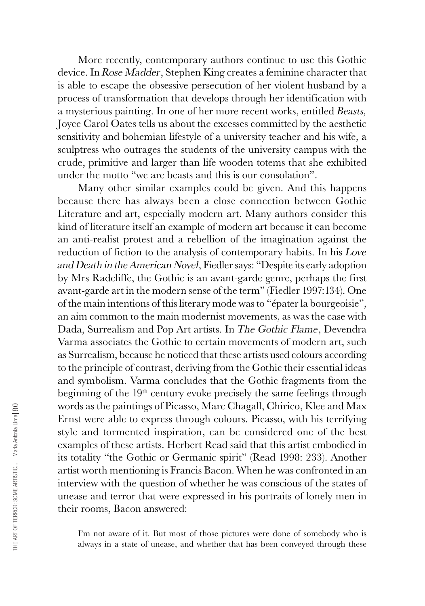More recently, contemporary authors continue to use this Gothic device. In Rose Madder, Stephen King creates a feminine character that is able to escape the obsessive persecution of her violent husband by a process of transformation that develops through her identification with a mysterious painting. In one of her more recent works, entitled Beasts, Joyce Carol Oates tells us about the excesses committed by the aesthetic sensitivity and bohemian lifestyle of a university teacher and his wife, a sculptress who outrages the students of the university campus with the crude, primitive and larger than life wooden totems that she exhibited under the motto "we are beasts and this is our consolation".

Many other similar examples could be given. And this happens because there has always been a close connection between Gothic Literature and art, especially modern art. Many authors consider this kind of literature itself an example of modern art because it can become an anti-realist protest and a rebellion of the imagination against the reduction of fiction to the analysis of contemporary habits. In his Love and Death in the American Novel, Fiedler says: "Despite its early adoption by Mrs Radcliffe, the Gothic is an avant-garde genre, perhaps the first avant-garde art in the modern sense of the term" (Fiedler 1997:134). One of the main intentions of this literary mode was to "épater la bourgeoisie", an aim common to the main modernist movements, as was the case with Dada, Surrealism and Pop Art artists. In The Gothic Flame, Devendra Varma associates the Gothic to certain movements of modern art, such as Surrealism, because he noticed that these artists used colours according to the principle of contrast, deriving from the Gothic their essential ideas and symbolism. Varma concludes that the Gothic fragments from the beginning of the 19<sup>th</sup> century evoke precisely the same feelings through words as the paintings of Picasso, Marc Chagall, Chirico, Klee and Max Ernst were able to express through colours. Picasso, with his terrifying style and tormented inspiration, can be considered one of the best examples of these artists. Herbert Read said that this artist embodied in its totality "the Gothic or Germanic spirit" (Read 1998: 233). Another artist worth mentioning is Francis Bacon. When he was confronted in an interview with the question of whether he was conscious of the states of unease and terror that were expressed in his portraits of lonely men in their rooms, Bacon answered:

I'm not aware of it. But most of those pictures were done of somebody who is always in a state of unease, and whether that has been conveyed through these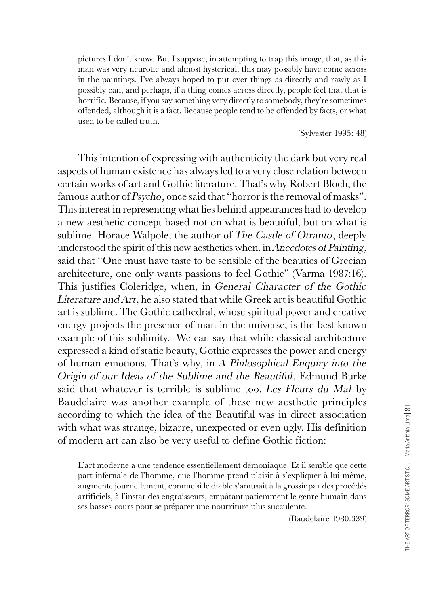pictures I don't know. But I suppose, in attempting to trap this image, that, as this man was very neurotic and almost hysterical, this may possibly have come across in the paintings. I've always hoped to put over things as directly and rawly as I possibly can, and perhaps, if a thing comes across directly, people feel that that is horrific. Because, if you say something very directly to somebody, they're sometimes offended, although it is a fact. Because people tend to be offended by facts, or what used to be called truth.

(Sylvester 1995: 48)

This intention of expressing with authenticity the dark but very real aspects of human existence has always led to a very close relation between certain works of art and Gothic literature. That's why Robert Bloch, the famous author of Psycho, once said that "horror is the removal of masks". This interest in representing what lies behind appearances had to develop a new aesthetic concept based not on what is beautiful, but on what is sublime. Horace Walpole, the author of The Castle of Otranto, deeply understood the spirit of this new aesthetics when, in Anecdotes of Painting, said that "One must have taste to be sensible of the beauties of Grecian architecture, one only wants passions to feel Gothic" (Varma 1987:16). This justifies Coleridge, when, in General Character of the Gothic Literature and Art, he also stated that while Greek art is beautiful Gothic art is sublime. The Gothic cathedral, whose spiritual power and creative energy projects the presence of man in the universe, is the best known example of this sublimity. We can say that while classical architecture expressed a kind of static beauty, Gothic expresses the power and energy of human emotions. That's why, in A Philosophical Enquiry into the Origin of our Ideas of the Sublime and the Beautiful, Edmund Burke said that whatever is terrible is sublime too. Les Fleurs du Mal by Baudelaire was another example of these new aesthetic principles according to which the idea of the Beautiful was in direct association with what was strange, bizarre, unexpected or even ugly. His definition of modern art can also be very useful to define Gothic fiction:

L'art moderne a une tendence essentiellement démoniaque. Et il semble que cette part infernale de l'homme, que l'homme prend plaisir à s'expliquer à lui-même, augmente journellement, comme si le diable s'amusait à la grossir par des procédés artificiels, à l'instar des engraisseurs, empâtant patiemment le genre humain dans ses basses-cours pour se préparer une nourriture plus succulente.

(Baudelaire 1980:339)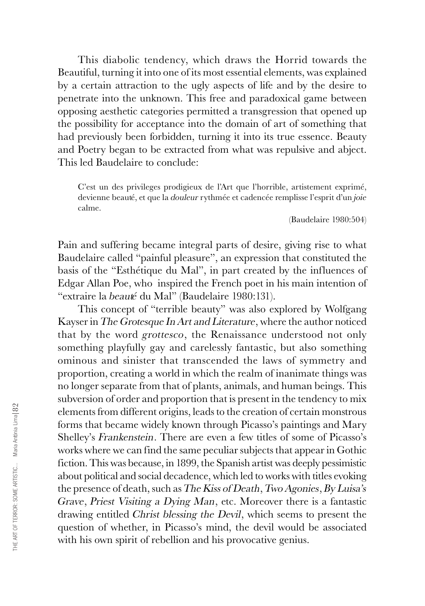This diabolic tendency, which draws the Horrid towards the Beautiful, turning it into one of its most essential elements, was explained by a certain attraction to the ugly aspects of life and by the desire to penetrate into the unknown. This free and paradoxical game between opposing aesthetic categories permitted a transgression that opened up the possibility for acceptance into the domain of art of something that had previously been forbidden, turning it into its true essence. Beauty and Poetry began to be extracted from what was repulsive and abject. This led Baudelaire to conclude:

C'est un des privileges prodigieux de l'Art que l'horrible, artistement exprimé, devienne beauté, et que la douleur rythmée et cadencée remplisse l'esprit d'un joie calme.

(Baudelaire 1980:504)

Pain and suffering became integral parts of desire, giving rise to what Baudelaire called "painful pleasure", an expression that constituted the basis of the "Esthétique du Mal", in part created by the influences of Edgar Allan Poe, who inspired the French poet in his main intention of "extraire la beauté du Mal" (Baudelaire 1980:131).

This concept of "terrible beauty" was also explored by Wolfgang Kayser in The Grotesque In Art and Literature, where the author noticed that by the word grottesco, the Renaissance understood not only something playfully gay and carelessly fantastic, but also something ominous and sinister that transcended the laws of symmetry and proportion, creating a world in which the realm of inanimate things was no longer separate from that of plants, animals, and human beings. This subversion of order and proportion that is present in the tendency to mix elements from different origins, leads to the creation of certain monstrous forms that became widely known through Picasso's paintings and Mary Shelley's Frankenstein. There are even a few titles of some of Picasso's works where we can find the same peculiar subjects that appear in Gothic fiction. This was because, in 1899, the Spanish artist was deeply pessimistic about political and social decadence, which led to works with titles evoking the presence of death, such as The Kiss of Death, Two Agonies, By Luisa's Grave, Priest Visiting a Dying Man, etc. Moreover there is a fantastic drawing entitled Christ blessing the Devil, which seems to present the question of whether, in Picasso's mind, the devil would be associated with his own spirit of rebellion and his provocative genius.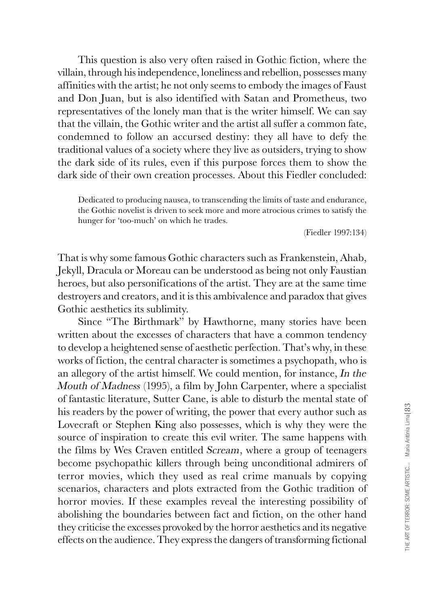This question is also very often raised in Gothic fiction, where the villain, through his independence, loneliness and rebellion, possesses many affinities with the artist; he not only seems to embody the images of Faust and Don Juan, but is also identified with Satan and Prometheus, two representatives of the lonely man that is the writer himself. We can say that the villain, the Gothic writer and the artist all suffer a common fate, condemned to follow an accursed destiny: they all have to defy the traditional values of a society where they live as outsiders, trying to show the dark side of its rules, even if this purpose forces them to show the dark side of their own creation processes. About this Fiedler concluded:

Dedicated to producing nausea, to transcending the limits of taste and endurance, the Gothic novelist is driven to seek more and more atrocious crimes to satisfy the hunger for 'too-much' on which he trades.

(Fiedler 1997:134)

That is why some famous Gothic characters such as Frankenstein, Ahab, Jekyll, Dracula or Moreau can be understood as being not only Faustian heroes, but also personifications of the artist. They are at the same time destroyers and creators, and it is this ambivalence and paradox that gives Gothic aesthetics its sublimity.

Since "The Birthmark" by Hawthorne, many stories have been written about the excesses of characters that have a common tendency to develop a heightened sense of aesthetic perfection. That's why, in these works of fiction, the central character is sometimes a psychopath, who is an allegory of the artist himself. We could mention, for instance, In the Mouth of Madness (1995), a film by John Carpenter, where a specialist of fantastic literature, Sutter Cane, is able to disturb the mental state of his readers by the power of writing, the power that every author such as Lovecraft or Stephen King also possesses, which is why they were the source of inspiration to create this evil writer. The same happens with the films by Wes Craven entitled Scream, where a group of teenagers become psychopathic killers through being unconditional admirers of terror movies, which they used as real crime manuals by copying scenarios, characters and plots extracted from the Gothic tradition of horror movies. If these examples reveal the interesting possibility of abolishing the boundaries between fact and fiction, on the other hand they criticise the excesses provoked by the horror aesthetics and its negative effects on the audience. They express the dangers of transforming fictional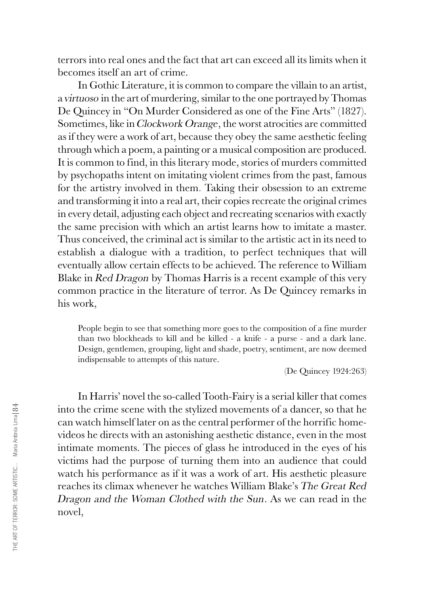terrors into real ones and the fact that art can exceed all its limits when it becomes itself an art of crime.

In Gothic Literature, it is common to compare the villain to an artist, a virtuoso in the art of murdering, similar to the one portrayed by Thomas De Quincey in "On Murder Considered as one of the Fine Arts" (1827). Sometimes, like in Clockwork Orange, the worst atrocities are committed as if they were a work of art, because they obey the same aesthetic feeling through which a poem, a painting or a musical composition are produced. It is common to find, in this literary mode, stories of murders committed by psychopaths intent on imitating violent crimes from the past, famous for the artistry involved in them. Taking their obsession to an extreme and transforming it into a real art, their copies recreate the original crimes in every detail, adjusting each object and recreating scenarios with exactly the same precision with which an artist learns how to imitate a master. Thus conceived, the criminal act is similar to the artistic act in its need to establish a dialogue with a tradition, to perfect techniques that will eventually allow certain effects to be achieved. The reference to William Blake in Red Dragon by Thomas Harris is a recent example of this very common practice in the literature of terror. As De Quincey remarks in his work,

People begin to see that something more goes to the composition of a fine murder than two blockheads to kill and be killed - a knife - a purse - and a dark lane. Design, gentlemen, grouping, light and shade, poetry, sentiment, are now deemed indispensable to attempts of this nature.

(De Quincey 1924:263)

In Harris' novel the so-called Tooth-Fairy is a serial killer that comes into the crime scene with the stylized movements of a dancer, so that he can watch himself later on as the central performer of the horrific homevideos he directs with an astonishing aesthetic distance, even in the most intimate moments. The pieces of glass he introduced in the eyes of his victims had the purpose of turning them into an audience that could watch his performance as if it was a work of art. His aesthetic pleasure reaches its climax whenever he watches William Blake's The Great Red Dragon and the Woman Clothed with the Sun. As we can read in the novel,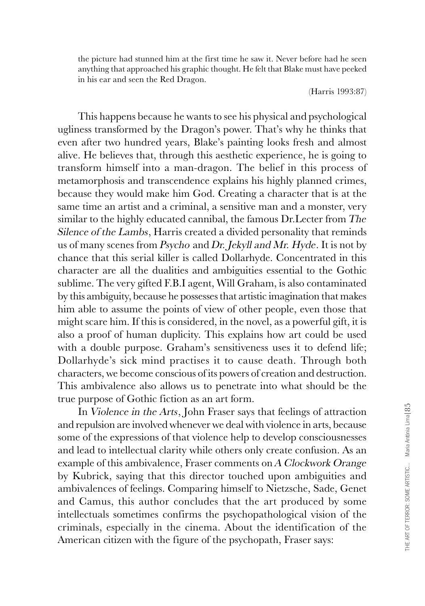the picture had stunned him at the first time he saw it. Never before had he seen anything that approached his graphic thought. He felt that Blake must have peeked in his ear and seen the Red Dragon.

(Harris 1993:87)

This happens because he wants to see his physical and psychological ugliness transformed by the Dragon's power. That's why he thinks that even after two hundred years, Blake's painting looks fresh and almost alive. He believes that, through this aesthetic experience, he is going to transform himself into a man-dragon. The belief in this process of metamorphosis and transcendence explains his highly planned crimes, because they would make him God. Creating a character that is at the same time an artist and a criminal, a sensitive man and a monster, very similar to the highly educated cannibal, the famous Dr.Lecter from The Silence of the Lambs, Harris created a divided personality that reminds us of many scenes from Psycho and Dr. Jekyll and Mr. Hyde. It is not by chance that this serial killer is called Dollarhyde. Concentrated in this character are all the dualities and ambiguities essential to the Gothic sublime. The very gifted F.B.I agent, Will Graham, is also contaminated by this ambiguity, because he possesses that artistic imagination that makes him able to assume the points of view of other people, even those that might scare him. If this is considered, in the novel, as a powerful gift, it is also a proof of human duplicity. This explains how art could be used with a double purpose. Graham's sensitiveness uses it to defend life; Dollarhyde's sick mind practises it to cause death. Through both characters, we become conscious of its powers of creation and destruction. This ambivalence also allows us to penetrate into what should be the true purpose of Gothic fiction as an art form.

In Violence in the Arts, John Fraser says that feelings of attraction and repulsion are involved whenever we deal with violence in arts, because some of the expressions of that violence help to develop consciousnesses and lead to intellectual clarity while others only create confusion. As an example of this ambivalence, Fraser comments on A Clockwork Orange by Kubrick, saying that this director touched upon ambiguities and ambivalences of feelings. Comparing himself to Nietzsche, Sade, Genet and Camus, this author concludes that the art produced by some intellectuals sometimes confirms the psychopathological vision of the criminals, especially in the cinema. About the identification of the American citizen with the figure of the psychopath, Fraser says: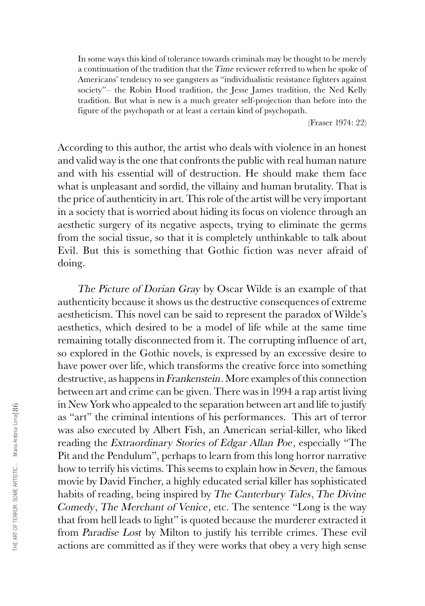In some ways this kind of tolerance towards criminals may be thought to be merely a continuation of the tradition that the Time reviewer referred to when he spoke of Americans' tendency to see gangsters as "individualistic resistance fighters against society''– the Robin Hood tradition, the Jesse James tradition, the Ned Kelly tradition. But what is new is a much greater self-projection than before into the figure of the psychopath or at least a certain kind of psychopath.

(Fraser 1974: 22)

According to this author, the artist who deals with violence in an honest and valid way is the one that confronts the public with real human nature and with his essential will of destruction. He should make them face what is unpleasant and sordid, the villainy and human brutality. That is the price of authenticity in art. This role of the artist will be very important in a society that is worried about hiding its focus on violence through an aesthetic surgery of its negative aspects, trying to eliminate the germs from the social tissue, so that it is completely unthinkable to talk about Evil. But this is something that Gothic fiction was never afraid of doing.

The Picture of Dorian Gray by Oscar Wilde is an example of that authenticity because it shows us the destructive consequences of extreme aestheticism. This novel can be said to represent the paradox of Wilde's aesthetics, which desired to be a model of life while at the same time remaining totally disconnected from it. The corrupting influence of art, so explored in the Gothic novels, is expressed by an excessive desire to have power over life, which transforms the creative force into something destructive, as happens in Frankenstein. More examples of this connection between art and crime can be given. There was in 1994 a rap artist living in New York who appealed to the separation between art and life to justify as "art" the criminal intentions of his performances. This art of terror was also executed by Albert Fish, an American serial-killer, who liked reading the Extraordinary Stories of Edgar Allan Poe, especially "The Pit and the Pendulum", perhaps to learn from this long horror narrative how to terrify his victims. This seems to explain how in Seven, the famous movie by David Fincher, a highly educated serial killer has sophisticated habits of reading, being inspired by The Canterbury Tales, The Divine Comedy, The Merchant of Venice, etc. The sentence "Long is the way that from hell leads to light" is quoted because the murderer extracted it from Paradise Lost by Milton to justify his terrible crimes. These evil actions are committed as if they were works that obey a very high sense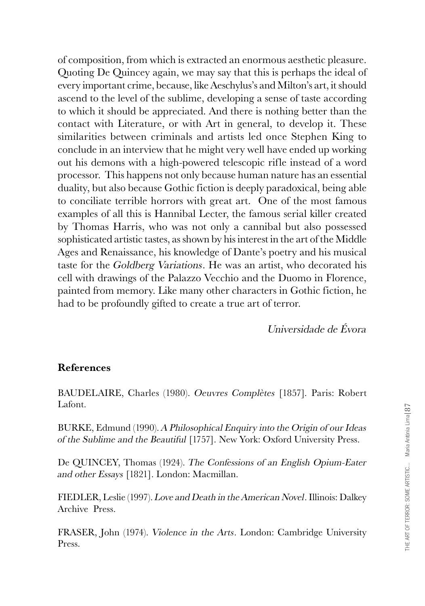of composition, from which is extracted an enormous aesthetic pleasure. Quoting De Quincey again, we may say that this is perhaps the ideal of every important crime, because, like Aeschylus's and Milton's art, it should ascend to the level of the sublime, developing a sense of taste according to which it should be appreciated. And there is nothing better than the contact with Literature, or with Art in general, to develop it. These similarities between criminals and artists led once Stephen King to conclude in an interview that he might very well have ended up working out his demons with a high-powered telescopic rifle instead of a word processor. This happens not only because human nature has an essential duality, but also because Gothic fiction is deeply paradoxical, being able to conciliate terrible horrors with great art. One of the most famous examples of all this is Hannibal Lecter, the famous serial killer created by Thomas Harris, who was not only a cannibal but also possessed sophisticated artistic tastes, as shown by his interest in the art of the Middle Ages and Renaissance, his knowledge of Dante's poetry and his musical taste for the Goldberg Variations. He was an artist, who decorated his cell with drawings of the Palazzo Vecchio and the Duomo in Florence, painted from memory. Like many other characters in Gothic fiction, he had to be profoundly gifted to create a true art of terror.

Universidade de Évora

## **References**

BAUDELAIRE, Charles (1980). Oeuvres Complètes [1857]. Paris: Robert Lafont.

BURKE, Edmund (1990). A Philosophical Enquiry into the Origin of our Ideas of the Sublime and the Beautiful [1757]. New York: Oxford University Press.

De QUINCEY, Thomas (1924). The Confessions of an English Opium-Eater and other Essays [1821]. London: Macmillan.

FIEDLER, Leslie (1997). Love and Death in the American Novel. Illinois: Dalkey Archive Press.

FRASER, John (1974). Violence in the Arts. London: Cambridge University Press.